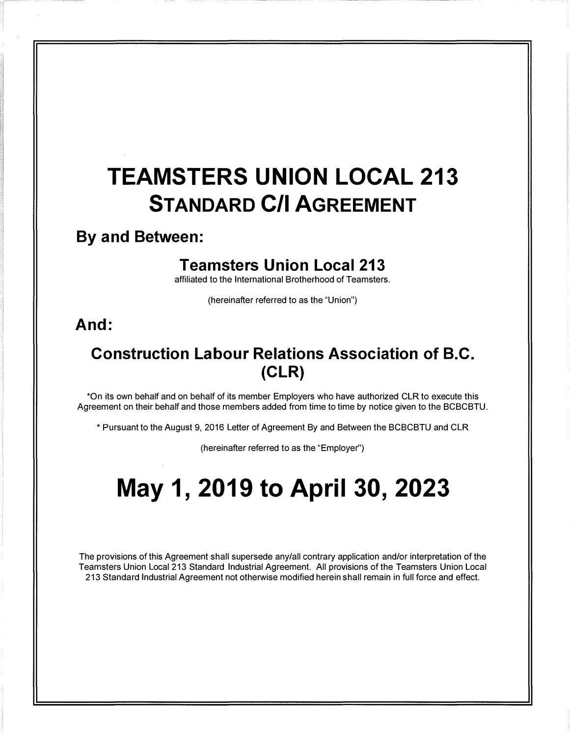# TEAMSTERS UNION LOCAL 213 STANDARD C/I AGREEMENT

# By and Between:

# Teamsters Union Local 213

affiliated to the International Brotherhood of Teamsters.

(hereinafter referred to as the "Union")

# And:

# Construction Labour Relations Association of B.C. (CLR)

\*On its own behalf and on behalf of its member Employers who have authorized CLR to execute this Agreement on their behalf and those members added from time to time by notice given to the BCBCBTU.

\* Pursuant to the August 9, 2016 Letter of Agreement By and Between the BCBCBTU and CLR

(hereinafter referred to as the "Employer'')

# May 1, 2019 to April 30, 2023

The provisions of this Agreement shall supersede any/all contrary application and/or interpretation of the Teamsters Union Local 213 Standard Industrial Agreement. All provisions of the Teamsters Union Local 213 Standard Industrial Agreement not otherwise modified herein shall remain in full force and effect.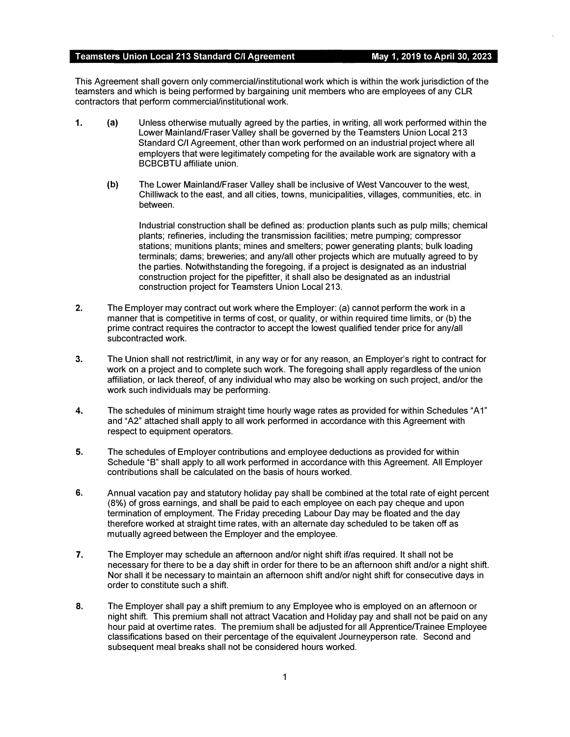This Agreement shall govern only commercial/institutional work which is within the work jurisdiction of the teamsters and which is being performed by bargaining unit members who are employees of any CLR contractors that perform commercial/institutional work.

- 1. (a) Unless otherwise mutually agreed by the parties, in writing, all work performed within the Lower Mainland/Fraser Valley shall be governed by the Teamsters Union Local 213 Standard C/I Agreement, other than work performed on an industrial project where all employers that were legitimately competing for the available work are signatory with a BCBCBTU affiliate union.
	- (b) The Lower Mainland/Fraser Valley shall be inclusive of West Vancouver to the west, Chilliwack to the east, and all cities, towns, municipalities, villages, communities, etc. in between.

Industrial construction shall be defined as: production plants such as pulp mills; chemical plants; refineries, including the transmission facilities; metre pumping; compressor stations; munitions plants; mines and smelters; power generating plants; bulk loading terminals; dams; breweries; and any/all other projects which are mutually agreed to by the parties. Notwithstanding the foregoing, if a project is designated as an industrial construction project for the pipefitter, it shall also be designated as an industrial construction project for Teamsters Union Local 213.

- 2. The Employer may contract out work where the Employer: (a) cannot perform the work in a manner that is competitive in terms of cost, or quality, or within required time limits, or (b) the prime contract requires the contractor to accept the lowest qualified tender price for any/all subcontracted work.
- 3. The Union shall not restricUlimit, in any way or for any reason, an Employer's right to contract for work on a project and to complete such work. The foregoing shall apply regardless of the union affiliation, or lack thereof, of any individual who may also be working on such project, and/or the work such individuals may be performing.
- 4. The schedules of minimum straight time hourly wage rates as provided for within Schedules "A1" and "A2" attached shall apply to all work performed in accordance with this Agreement with respect to equipment operators.
- 5. The schedules of Employer contributions and employee deductions as provided for within Schedule "B" shall apply to all work performed in accordance with this Agreement. All Employer contributions shall be calculated on the basis of hours worked.
- 6. Annual vacation pay and statutory holiday pay shall be combined at the total rate of eight percent (8%) of gross earnings, and shall be paid to each employee on each pay cheque and upon termination of employment. The Friday preceding Labour Day may be floated and the day therefore worked at straight time rates, with an alternate day scheduled to be taken off as mutually agreed between the Employer and the employee.
- 7. The Employer may schedule an afternoon and/or night shift if/as required. It shall not be necessary for there to be a day shift in order for there to be an afternoon shift and/or a night shift. Nor shall it be necessary to maintain an afternoon shift and/or night shift for consecutive days in order to constitute such a shift.
- 8. The Employer shall pay a shift premium to any Employee who is employed on an afternoon or night shift. This premium shall not attract Vacation and Holiday pay and shall not be paid on any hour paid at overtime rates. The premium shall be adjusted for all Apprentice/Trainee Employee classifications based on their percentage of the equivalent Journeyperson rate. Second and subsequent meal breaks shall not be considered hours worked.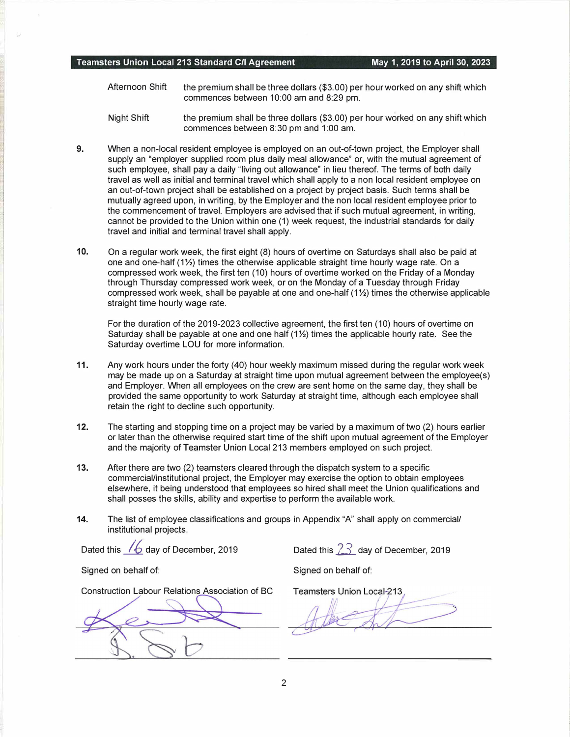- Afternoon Shift the premium shall be three dollars (\$3.00) per hour worked on any shift which commences between 10:00 am and 8:29 pm.
- Night Shift the premium shall be three dollars (\$3.00) per hour worked on any shift which commences between 8:30 pm and 1:00 am.
- 9. When a non-local resident employee is employed on an out-of-town project, the Employer shall supply an "employer supplied room plus daily meal allowance" or, with the mutual agreement of such employee, shall pay a daily "living out allowance" in lieu thereof. The terms of both daily travel as well as initial and terminal travel which shall apply to a non local resident employee on an out-of-town project shall be established on a project by project basis. Such terms shall be mutually agreed upon, in writing, by the Employer and the non local resident employee prior to the commencement of travel. Employers are advised that if such mutual agreement, in writing, cannot be provided to the Union within one (1) week request, the industrial standards for daily travel and initial and terminal travel shall apply.
- 10. On a regular work week, the first eight (8) hours of overtime on Saturdays shall also be paid at one and one-half  $(1\frac{1}{2})$  times the otherwise applicable straight time hourly wage rate. On a compressed work week, the first ten (10) hours of overtime worked on the Friday of a Monday through Thursday compressed work week, or on the Monday of a Tuesday through Friday compressed work week, shall be payable at one and one-half  $(1\frac{1}{2})$  times the otherwise applicable straight time hourly wage rate.

For the duration of the 2019-2023 collective agreement, the first ten (10) hours of overtime on Saturday shall be payable at one and one half (1\%) times the applicable hourly rate. See the Saturday overtime LOU for more information.

- 11. Any work hours under the forty (40) hour weekly maximum missed during the regular work week may be made up on a Saturday at straight time upon mutual agreement between the employee(s) and Employer. When all employees on the crew are sent home on the same day, they shall be provided the same opportunity to work Saturday at straight time, although each employee shall retain the right to decline such opportunity.
- 12. The starting and stopping time on a project may be varied by a maximum of two (2) hours earlier or later than the otherwise required start time of the shift upon mutual agreement of the Employer and the majority of Teamster Union Local 213 members employed on such project.
- 13. After there are two (2) teamsters cleared through the dispatch system to a specific commercial/institutional project, the Employer may exercise the option to obtain employees elsewhere, it being understood that employees so hired shall meet the Union qualifications and shall posses the skills, ability and expertise to perform the available work.
- 14. The list of employee classifications and groups in Appendix "A" shall apply on commercial/ institutional projects.

Dated this  $\sqrt{6}$  day of December, 2019 Dated this  $23$  day of December, 2019

Signed on behalf of: Signed on behalf of:

Construction Labour Relations Association of BC

Teamsters Union Local-213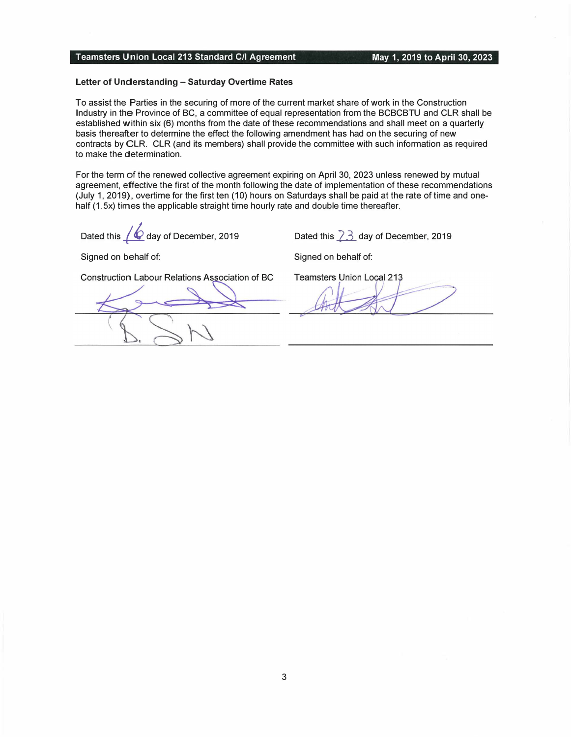#### Letter of Understanding - Saturday Overtime Rates

To assist the Parties in the securing of more of the current market share of work in the Construction Industry in the Province of BC, a committee of equal representation from the BCBCBTU and CLR shall be established within six (6) months from the date of these recommendations and shall meet on a quarterly basis thereafter to determine the effect the following amendment has had on the securing of new contracts by CLR. CLR (and its members) shall provide the committee with such information as required to make the determination.

For the term of the renewed collective agreement expiring on April 30, 2023 unless renewed by mutual agreement, effective the first of the month following the date of implementation of these recommendations (July 1, 2019), overtime for the first ten (10) hours on Saturdays shall be paid at the rate of time and onehalf (1.5x) times the applicable straight time hourly rate and double time thereafter.

Dated this  $/$   $\bullet$  day of December, 2019

Dated this  $23$  day of December, 2019

Signed on behalf of:

Signed on behalf of:

Construction Labour Relations Association of BC

Teamsters Union Local 213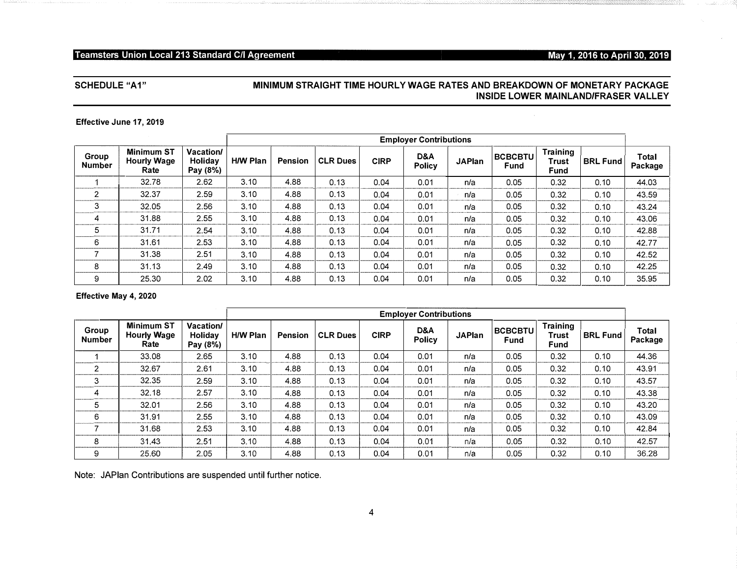# May 1, 2016 to April 30, 2019

# **SCHEDULE "A1"**

# MINIMUM STRAIGHT TIME HOURLY WAGE RATES AND BREAKDOWN OF MONETARY PACKAGE **INSIDE LOWER MAINLAND/FRASER VALLEY**

#### Effective June 17, 2019

|                        |                                                 |                                         |                 |                |                 |             | <b>Employer Contributions</b> |               |                        |                                         |                 |                         |
|------------------------|-------------------------------------------------|-----------------------------------------|-----------------|----------------|-----------------|-------------|-------------------------------|---------------|------------------------|-----------------------------------------|-----------------|-------------------------|
| Group<br><b>Number</b> | <b>Minimum ST</b><br><b>Hourly Wage</b><br>Rate | Vacation/<br><b>Holidav</b><br>Pay (8%) | <b>H/W Plan</b> | <b>Pension</b> | <b>CLR Dues</b> | <b>CIRP</b> | D&A<br><b>Policy</b>          | <b>JAPlan</b> | <b>BCBCBTU</b><br>Fund | <b>Training</b><br>Trust<br><b>Fund</b> | <b>BRL Fund</b> | <b>Total</b><br>Package |
|                        | 32.78                                           | 2.62                                    | 3.10            | 4.88           | 0.13            | 0.04        | 0.01                          | n/a           | 0.05                   | 0.32                                    | 0.10            | 44.03                   |
| 2                      | 32.37                                           | 2.59                                    | 3.10            | 4.88           | 0.13            | 0.04        | 0.01                          | n/a           | 0.05                   | 0.32                                    | 0.10            | 43.59                   |
| 3                      | 32.05                                           | 2.56                                    | 3.10            | 4.88           | 0.13            | 0.04        | 0.01                          | n/a           | 0.05                   | 0.32                                    | 0.10            | 43.24                   |
| 4                      | 31.88                                           | 2.55                                    | 3.10            | 4.88           | 0.13            | 0.04        | 0.01                          | n/a           | 0.05                   | 0.32                                    | 0.10            | 43.06                   |
| 5                      | 31.71                                           | 2.54                                    | 3.10            | 4.88           | 0.13            | 0.04        | 0.01                          | n/a           | 0.05                   | 0.32                                    | 0.10            | 42.88                   |
| 6                      | 31.61                                           | 2.53                                    | 3.10            | 4.88           | 0.13            | 0.04        | 0.01                          | n/a           | 0.05                   | 0.32                                    | 0.10            | 42.77                   |
|                        | 31.38                                           | 2.51                                    | 3.10            | 4.88           | 0.13            | 0.04        | 0.01                          | n/a           | 0.05                   | 0.32                                    | 0.10            | 42.52                   |
| 8                      | 31.13                                           | 2.49                                    | 3.10            | 4.88           | 0.13            | 0.04        | 0.01                          | n/a           | 0.05                   | 0.32                                    | 0.10            | 42.25                   |
| 9                      | 25.30                                           | 2.02                                    | 3.10            | 4.88           | 0.13            | 0.04        | 0.01                          | n/a           | 0.05                   | 0.32                                    | 0.10            | 35.95                   |

## Effective May 4, 2020

|                 |                                          |                                                |                 |                |                 | <b>Employer Contributions</b> |                      |               |                        |                                  |                 |                  |
|-----------------|------------------------------------------|------------------------------------------------|-----------------|----------------|-----------------|-------------------------------|----------------------|---------------|------------------------|----------------------------------|-----------------|------------------|
| Group<br>Number | Minimum ST<br><b>Hourly Wage</b><br>Rate | <b>Vacation/</b><br><b>Holidav</b><br>Pay (8%) | <b>H/W Plan</b> | <b>Pension</b> | <b>CLR Dues</b> | <b>CIRP</b>                   | D&A<br><b>Policy</b> | <b>JAPlan</b> | <b>BCBCBTU</b><br>Fund | <b>Training</b><br>Trust<br>Fund | <b>BRL Fund</b> | Total<br>Package |
|                 | 33.08                                    | 2.65                                           | 3.10            | 4.88           | 0.13            | 0.04                          | 0.01                 | n/a           | 0.05                   | 0.32                             | 0.10            | 44.36            |
| 2               | 32.67                                    | 2.61                                           | 3.10            | 4.88           | 0.13            | 0.04                          | 0.01                 | n/a           | 0.05                   | 0.32                             | 0.10            | 43.91            |
| 3               | 32.35                                    | 2.59                                           | 3.10            | 4.88           | 0.13            | 0.04                          | 0.01                 | n/a           | 0.05                   | 0.32                             | 0.10            | 43.57            |
| 4               | 32.18                                    | 2.57                                           | 3.10            | 4.88           | 0.13            | 0.04                          | 0.01                 | n/a           | 0.05                   | 0.32                             | 0.10            | 43.38            |
| 5               | 32.01                                    | 2.56                                           | 3.10            | 4.88           | 0.13            | 0.04                          | 0.01                 | n/a           | 0.05                   | 0.32                             | 0.10            | 43.20            |
| 6               | 31.91                                    | 2.55                                           | 3.10            | 4.88           | 0.13            | 0.04                          | 0.01                 | n/a           | 0.05                   | 0.32                             | 0.10            | 43.09            |
|                 | 31.68                                    | 2.53                                           | 3.10            | 4.88           | 0.13            | 0.04                          | 0.01                 | n/a           | 0.05                   | 0.32                             | 0.10            | 42.84            |
| 8               | 31.43                                    | 2.51                                           | 3.10            | 4.88           | 0.13            | 0.04                          | 0.01                 | n/a           | 0.05                   | 0.32                             | 0.10            | 42.57            |
| 9               | 25.60                                    | 2.05                                           | 3.10            | 4.88           | 0.13            | 0.04                          | 0.01                 | n/a           | 0.05                   | 0.32                             | 0.10            | 36.28            |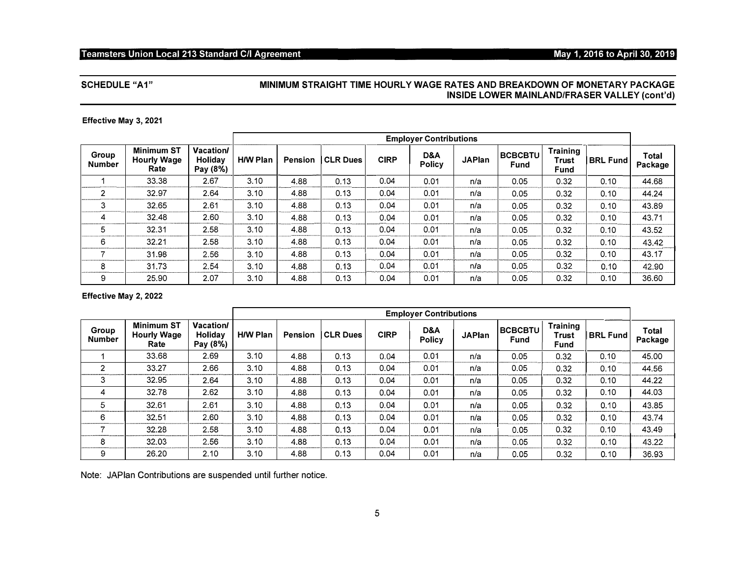# May 1, 2016 to April 30, 2019

# **SCHEDULE "A1"**

# MINIMUM STRAIGHT TIME HOURLY WAGE RATES AND BREAKDOWN OF MONETARY PACKAGE INSIDE LOWER MAINLAND/FRASER VALLEY (cont'd)

#### Effective May 3, 2021

|                        |                                                 |                                                |                 |                |                 |             | <b>Employer Contributions</b> |               |                        |                                  |                 |                  |
|------------------------|-------------------------------------------------|------------------------------------------------|-----------------|----------------|-----------------|-------------|-------------------------------|---------------|------------------------|----------------------------------|-----------------|------------------|
| Group<br><b>Number</b> | <b>Minimum ST</b><br><b>Hourly Wage</b><br>Rate | <b>Vacation/</b><br><b>Holidav</b><br>Pay (8%) | <b>H/W Plan</b> | <b>Pension</b> | <b>CLR Dues</b> | <b>CIRP</b> | D&A<br><b>Policy</b>          | <b>JAPlan</b> | <b>BCBCBTU</b><br>Fund | Training<br>Trust<br><b>Fund</b> | <b>BRL Fund</b> | Total<br>Package |
|                        | 33.38                                           | 2.67                                           | 3.10            | 4.88           | 0.13            | 0.04        | 0.01                          | n/a           | 0.05                   | 0.32                             | 0.10            | 44.68            |
| $\overline{2}$         | 32.97                                           | 2.64                                           | 3.10            | 4.88           | 0.13            | 0.04        | 0.01                          | n/a           | 0.05                   | 0.32                             | 0.10            | 44.24            |
| 3                      | 32.65                                           | 2.61                                           | 3.10            | 4.88           | 0.13            | 0.04        | 0.01                          | n/a           | 0.05                   | 0.32                             | 0.10            | 43.89            |
| 4                      | 32.48                                           | 2.60                                           | 3.10            | 4.88           | 0.13            | 0.04        | 0.01                          | n/a           | 0.05                   | 0.32                             | 0.10            | 43.71            |
| 5                      | 32.31                                           | 2.58                                           | 3.10            | 4.88           | 0.13            | 0.04        | 0.01                          | n/a           | 0.05                   | 0.32                             | 0.10            | 43.52            |
| 6                      | 32.21                                           | 2.58                                           | 3.10            | 4.88           | 0.13            | 0.04        | 0.01                          | n/a           | 0.05                   | 0.32                             | 0.10            | 43.42            |
|                        | 31.98                                           | 2.56                                           | 3.10            | 4.88           | 0.13            | 0.04        | 0.01                          | n/a           | 0.05                   | 0.32                             | 0.10            | 43.17            |
| 8                      | 31.73                                           | 2.54                                           | 3.10            | 4.88           | 0.13            | 0.04        | 0.01                          | n/a           | 0.05                   | 0.32                             | 0.10            | 42.90            |
| 9                      | 25.90                                           | 2.07                                           | 3.10            | 4.88           | 0.13            | 0.04        | 0.01                          | n/a           | 0.05                   | 0.32                             | 0.10            | 36.60            |

# Effective May 2, 2022

|                        |                                                 |                                  | <b>Employer Contributions</b> |         |                 |             |                      |               |                        |                                  |                 |                         |
|------------------------|-------------------------------------------------|----------------------------------|-------------------------------|---------|-----------------|-------------|----------------------|---------------|------------------------|----------------------------------|-----------------|-------------------------|
| Group<br><b>Number</b> | <b>Minimum ST</b><br><b>Hourly Wage</b><br>Rate | Vacation/<br>Holidav<br>Pay (8%) | <b>H/W Plan</b>               | Pension | <b>CLR Dues</b> | <b>CIRP</b> | D&A<br><b>Policy</b> | <b>JAPlan</b> | <b>BCBCBTU</b><br>Fund | <b>Training</b><br>Trust<br>Fund | <b>BRL Fund</b> | <b>Total</b><br>Package |
|                        | 33.68                                           | 2.69                             | 3.10                          | 4.88    | 0.13            | 0.04        | 0.01                 | n/a           | 0.05                   | 0.32                             | 0.10            | 45.00                   |
| $\overline{2}$         | 33.27                                           | 2.66                             | 3.10                          | 4.88    | 0.13            | 0.04        | 0.01                 | n/a           | 0.05                   | 0.32                             | 0.10            | 44.56                   |
| 3                      | 32.95                                           | 2.64                             | 3.10                          | 4.88    | 0.13            | 0.04        | 0.01                 | n/a           | 0.05                   | 0.32                             | 0.10            | 44.22                   |
| 4                      | 32.78                                           | 2.62                             | 3.10                          | 4.88    | 0.13            | 0.04        | 0.01                 | n/a           | 0.05                   | 0.32                             | 0.10            | 44.03                   |
| 5                      | 32.61                                           | 2.61                             | 3.10                          | 4.88    | 0.13            | 0.04        | 0.01                 | n/a           | 0.05                   | 0.32                             | 0.10            | 43.85                   |
| 6                      | 32.51                                           | 2.60                             | 3.10                          | 4.88    | 0.13            | 0.04        | 0.01                 | n/a           | 0.05                   | 0.32                             | 0.10            | 43.74                   |
|                        | 32.28                                           | 2.58                             | 3.10                          | 4.88    | 0.13            | 0.04        | 0.01                 | n/a           | 0.05                   | 0.32                             | 0.10            | 43.49                   |
| 8                      | 32.03                                           | 2.56                             | 3.10                          | 4.88    | 0.13            | 0.04        | 0.01                 | n/a           | 0.05                   | 0.32                             | 0.10            | 43.22                   |
| 9                      | 26.20                                           | 2.10                             | 3.10                          | 4.88    | 0.13            | 0.04        | 0.01                 | n/a           | 0.05                   | 0.32                             | 0.10            | 36.93                   |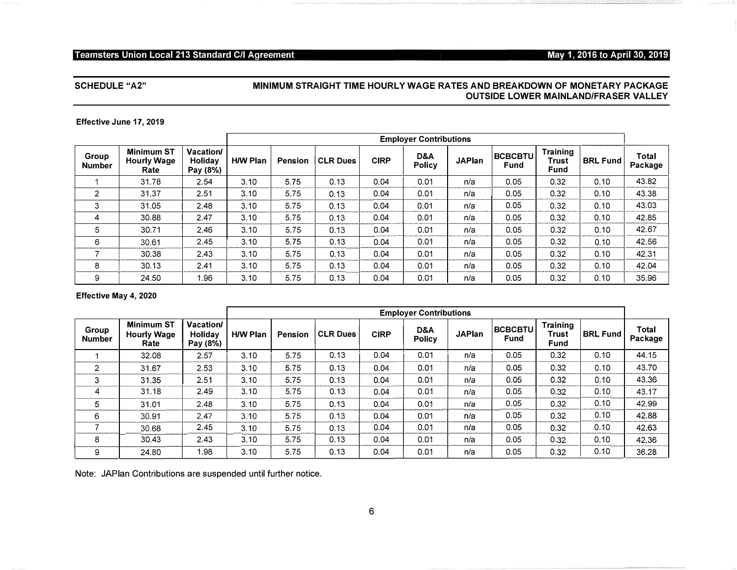# May 1, 2016 to April 30, 2019

# **SCHEDULE "A2"**

 $\langle \mu \nu \rangle \simeq \lambda \nu \omega \omega \omega$  .

# MINIMUM STRAIGHT TIME HOURLY WAGE RATES AND BREAKDOWN OF MONETARY PACKAGE **OUTSIDE LOWER MAINLAND/FRASER VALLEY**

#### Effective June 17, 2019

|                        |                                                 |                                         |                 |         |                 |             | <b>Employer Contributions</b> |               |                        |                           |                 |                  |
|------------------------|-------------------------------------------------|-----------------------------------------|-----------------|---------|-----------------|-------------|-------------------------------|---------------|------------------------|---------------------------|-----------------|------------------|
| Group<br><b>Number</b> | <b>Minimum ST</b><br><b>Hourly Wage</b><br>Rate | <b>Vacation/</b><br>Holidav<br>Pay (8%) | <b>H/W Plan</b> | Pension | <b>CLR Dues</b> | <b>CIRP</b> | D&A<br><b>Policy</b>          | <b>JAPlan</b> | <b>BCBCBTU</b><br>Fund | Training<br>Trust<br>Fund | <b>BRL Fund</b> | Total<br>Package |
|                        | 31.78                                           | 2.54                                    | 3.10            | 5.75    | 0.13            | 0.04        | 0.01                          | n/a           | 0.05                   | 0.32                      | 0.10            | 43.82            |
| 2                      | 31.37                                           | 2.51                                    | 3.10            | 5.75    | 0.13            | 0.04        | 0.01                          | n/a           | 0.05                   | 0.32                      | 0.10            | 43.38            |
| 3                      | 31.05                                           | 2.48                                    | 3.10            | 5.75    | 0.13            | 0.04        | 0.01                          | n/a           | 0.05                   | 0.32                      | 0.10            | 43.03            |
| 4                      | 30.88                                           | 2.47                                    | 3.10            | 5.75    | 0.13            | 0.04        | 0.01                          | n/a           | 0.05                   | 0.32                      | 0.10            | 42.85            |
| 5                      | 30.71                                           | 2.46                                    | 3.10            | 5.75    | 0.13            | 0.04        | 0.01                          | n/a           | 0.05                   | 0.32                      | 0.10            | 42.67            |
| 6                      | 30.61                                           | 2.45                                    | 3.10            | 5.75    | 0.13            | 0.04        | 0.01                          | n/a           | 0.05                   | 0.32                      | 0.10            | 42.56            |
|                        | 30.38                                           | 2.43                                    | 3.10            | 5.75    | 0.13            | 0.04        | 0.01                          | n/a           | 0.05                   | 0.32                      | 0.10            | 42.31            |
| 8                      | 30.13                                           | 2.41                                    | 3.10            | 5.75    | 0.13            | 0.04        | 0.01                          | n/a           | 0.05                   | 0.32                      | 0.10            | 42.04            |
| 9                      | 24.50                                           | 1.96                                    | 3.10            | 5.75    | 0.13            | 0.04        | 0.01                          | n/a           | 0.05                   | 0.32                      | 0.10            | 35.96            |

#### Effective May 4, 2020

|                        |                                                 |                                                | <b>Employer Contributions</b> |                |                 |             |               |               |                               |                                  |                 |                  |
|------------------------|-------------------------------------------------|------------------------------------------------|-------------------------------|----------------|-----------------|-------------|---------------|---------------|-------------------------------|----------------------------------|-----------------|------------------|
| Group<br><b>Number</b> | <b>Minimum ST</b><br><b>Hourly Wage</b><br>Rate | <b>Vacation/</b><br><b>Holidav</b><br>Pay (8%) | <b>H/W Plan</b>               | <b>Pension</b> | <b>CLR Dues</b> | <b>CIRP</b> | D&A<br>Policy | <b>JAPlan</b> | <b>BCBCBTU</b><br><b>Fund</b> | <b>Training</b><br>Trust<br>Fund | <b>BRL Fund</b> | Total<br>Package |
|                        | 32.08                                           | 2.57                                           | 3.10                          | 5.75           | 0.13            | 0.04        | 0.01          | n/a           | 0.05                          | 0.32                             | 0.10            | 44.15            |
| 2                      | 31.67                                           | 2.53                                           | 3.10                          | 5.75           | 0.13            | 0.04        | 0.01          | n/a           | 0.05                          | 0.32                             | 0.10            | 43.70            |
| 3                      | 31.35                                           | 2.51                                           | 3.10                          | 5.75           | 0.13            | 0.04        | 0.01          | n/a           | 0.05                          | 0.32                             | 0.10            | 43.36            |
| 4                      | 31.18                                           | 2.49                                           | 3.10                          | 5.75           | 0.13            | 0.04        | 0.01          | n/a           | 0.05                          | 0.32                             | 0.10            | 43.17            |
| 5                      | 31.01                                           | 2.48                                           | 3.10                          | 5.75           | 0.13            | 0.04        | 0.01          | n/a           | 0.05                          | 0.32                             | 0.10            | 42.99            |
| 6                      | 30.91                                           | 2.47                                           | 3.10                          | 5.75           | 0.13            | 0.04        | 0.01          | n/a           | 0.05                          | 0.32                             | 0.10            | 42.88            |
|                        | 30.68                                           | 2.45                                           | 3.10                          | 5.75           | 0.13            | 0.04        | 0.01          | n/a           | 0.05                          | 0.32                             | 0.10            | 42.63            |
| 8                      | 30.43                                           | 2.43                                           | 3.10                          | 5.75           | 0.13            | 0.04        | 0.01          | n/a           | 0.05                          | 0.32                             | 0.10            | 42.36            |
| 9                      | 24.80                                           | 1.98                                           | 3.10                          | 5.75           | 0.13            | 0.04        | 0.01          | n/a           | 0.05                          | 0.32                             | 0.10            | 36.28            |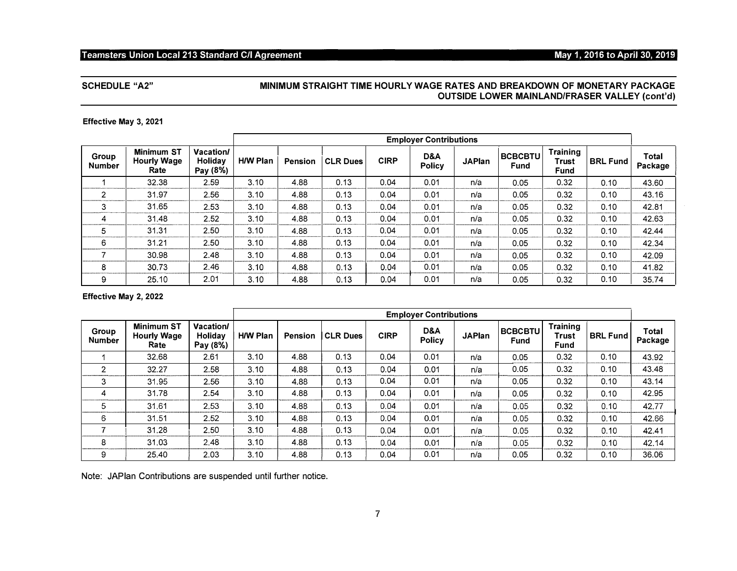# May 1, 2016 to April 30, 2019

# **SCHEDULE "A2"**

## MINIMUM STRAIGHT TIME HOURLY WAGE RATES AND BREAKDOWN OF MONETARY PACKAGE **OUTSIDE LOWER MAINLAND/FRASER VALLEY (cont'd)**

#### Effective May 3, 2021

|                        |                                                 |                                         |                 | <b>Employer Contributions</b> |                 |             |                      |               |                               |                                         |                 |                  |
|------------------------|-------------------------------------------------|-----------------------------------------|-----------------|-------------------------------|-----------------|-------------|----------------------|---------------|-------------------------------|-----------------------------------------|-----------------|------------------|
| Group<br><b>Number</b> | <b>Minimum ST</b><br><b>Hourly Wage</b><br>Rate | <b>Vacation/</b><br>Holidav<br>Pay (8%) | <b>H/W Plan</b> | <b>Pension</b>                | <b>CLR Dues</b> | <b>CIRP</b> | D&A<br><b>Policy</b> | <b>JAPlan</b> | <b>BCBCBTU</b><br><b>Fund</b> | <b>Training</b><br><b>Trust</b><br>Fund | <b>BRL Fund</b> | Total<br>Package |
|                        | 32.38                                           | 2.59                                    | 3.10            | 4.88                          | 0.13            | 0.04        | 0.01                 | n/a           | 0.05                          | 0.32                                    | 0.10            | 43.60            |
| 2                      | 31.97                                           | 2.56                                    | 3.10            | 4.88                          | 0.13            | 0.04        | 0.01                 | n/a           | 0.05                          | 0.32                                    | 0.10            | 43.16            |
| 3                      | 31.65                                           | 2.53                                    | 3.10            | 4.88                          | 0.13            | 0.04        | 0.01                 | n/a           | 0.05                          | 0.32                                    | 0.10            | 42.81            |
| 4                      | 31.48                                           | 2.52                                    | 3.10            | 4.88                          | 0.13            | 0.04        | 0.01                 | n/a           | 0.05                          | 0.32                                    | 0.10            | 42.63            |
| 5                      | 31.31                                           | 2.50                                    | 3.10            | 4.88                          | 0.13            | 0.04        | 0.01                 | n/a           | 0.05                          | 0.32                                    | 0.10            | 42.44            |
| 6                      | 31.21                                           | 2.50                                    | 3.10            | 4.88                          | 0.13            | 0.04        | 0.01                 | n/a           | 0.05                          | 0.32                                    | 0.10            | 42.34            |
|                        | 30.98                                           | 2.48                                    | 3.10            | 4.88                          | 0.13            | 0.04        | 0.01                 | n/a           | 0.05                          | 0.32                                    | 0.10            | 42.09            |
| 8                      | 30.73                                           | 2.46                                    | 3.10            | 4.88                          | 0.13            | 0.04        | 0.01                 | n/a           | 0.05                          | 0.32                                    | 0.10            | 41.82            |
| 9                      | 25.10                                           | 2.01                                    | 3.10            | 4.88                          | 0.13            | 0.04        | 0.01                 | n/a           | 0.05                          | 0.32                                    | 0.10            | 35.74            |

#### Effective May 2, 2022

|                        |                                                 |                                         | <b>Employer Contributions</b> |                |                 |             |                      |               |                               |                                         |                 |                  |
|------------------------|-------------------------------------------------|-----------------------------------------|-------------------------------|----------------|-----------------|-------------|----------------------|---------------|-------------------------------|-----------------------------------------|-----------------|------------------|
| Group<br><b>Number</b> | <b>Minimum ST</b><br><b>Hourly Wage</b><br>Rate | <b>Vacation/</b><br>Holidav<br>Pay (8%) | <b>H/W Plan</b>               | <b>Pension</b> | <b>CLR Dues</b> | <b>CIRP</b> | D&A<br><b>Policy</b> | <b>JAPlan</b> | <b>BCBCBTU</b><br><b>Fund</b> | <b>Training</b><br>Trust<br><b>Fund</b> | <b>BRL Fund</b> | Total<br>Package |
|                        | 32.68                                           | 2.61                                    | 3.10                          | 4.88           | 0.13            | 0.04        | 0.01                 | n/a           | 0.05                          | 0.32                                    | 0.10            | 43.92            |
| 2                      | 32.27                                           | 2.58                                    | 3.10                          | 4.88           | 0.13            | 0.04        | 0.01                 | n/a           | 0.05                          | 0.32                                    | 0.10            | 43.48            |
| 3                      | 31.95                                           | 2.56                                    | 3.10                          | 4.88           | 0.13            | 0.04        | 0.01                 | n/a           | 0.05                          | 0.32                                    | 0.10            | 43.14            |
| 4                      | 31.78                                           | 2.54                                    | 3.10                          | 4.88           | 0.13            | 0.04        | 0.01                 | n/a           | 0.05                          | 0.32                                    | 0.10            | 42.95            |
| 5                      | 31.61                                           | 2.53                                    | 3.10                          | 4.88           | 0.13            | 0.04        | 0.01                 | n/a           | 0.05                          | 0.32                                    | 0.10            | 42.77            |
| 6                      | 31.51                                           | 2.52                                    | 3.10                          | 4.88           | 0.13            | 0.04        | 0.01                 | n/a           | 0.05                          | 0.32                                    | 0.10            | 42.66            |
|                        | 31.28                                           | 2.50                                    | 3.10                          | 4.88           | 0.13            | 0.04        | 0.01                 | n/a           | 0.05                          | 0.32                                    | 0.10            | 42.41            |
| 8                      | 31.03                                           | 2.48                                    | 3.10                          | 4.88           | 0.13            | 0.04        | 0.01                 | n/a           | 0.05                          | 0.32                                    | 0.10            | 42.14            |
| 9                      | 25.40                                           | 2.03                                    | 3.10                          | 4.88           | 0.13            | 0.04        | 0.01                 | n/a           | 0.05                          | 0.32                                    | 0.10            | 36.06            |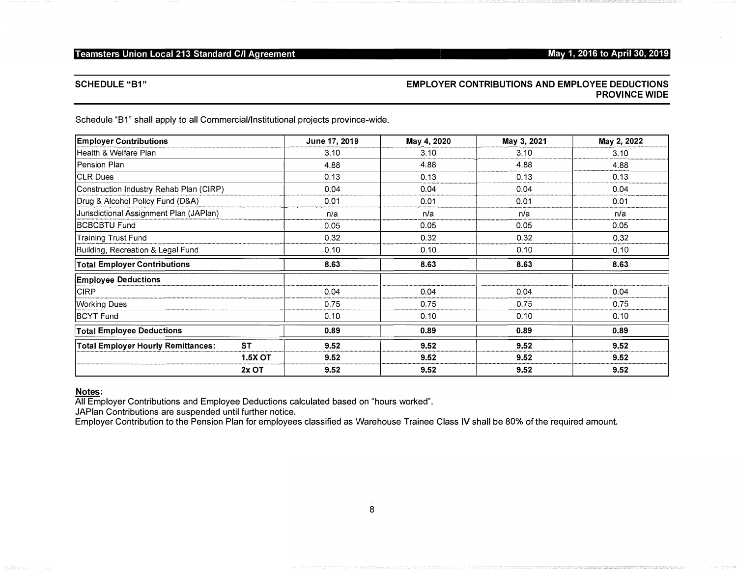# May 1, 2016 to April 30, 2019

# **SCHEDULE "B1"**

# **EMPLOYER CONTRIBUTIONS AND EMPLOYEE DEDUCTIONS PROVINCE WIDE**

Schedule "B1" shall apply to all Commercial/Institutional projects province-wide.

| <b>Employer Contributions</b>             |                | June 17, 2019 | May 4, 2020 | May 3, 2021 | May 2, 2022 |
|-------------------------------------------|----------------|---------------|-------------|-------------|-------------|
| Health & Welfare Plan                     |                | 3.10          | 3.10        | 3.10        | 3.10        |
| <b>Pension Plan</b>                       |                | 4.88          | 4.88        | 4.88        | 4.88        |
| <b>CLR Dues</b>                           |                | 0.13          | 0.13        | 0.13        | 0.13        |
| Construction Industry Rehab Plan (CIRP)   |                | 0.04          | 0.04        | 0.04        | 0.04        |
| Drug & Alcohol Policy Fund (D&A)          |                | 0.01          | 0.01        | 0.01        | 0.01        |
| Jurisdictional Assignment Plan (JAPlan)   |                | n/a           | n/a         | n/a         | n/a         |
| <b>BCBCBTU Fund</b>                       |                | 0.05          | 0.05        | 0.05        | 0.05        |
| Training Trust Fund                       |                | 0.32          | 0.32        | 0.32        | 0.32        |
| Building, Recreation & Legal Fund         |                | 0.10          | 0.10        | 0.10        | 0.10        |
| <b>Total Employer Contributions</b>       |                | 8.63          | 8.63        | 8.63        | 8.63        |
| <b>Employee Deductions</b>                |                |               |             |             |             |
| CIRP                                      |                | 0.04          | 0.04        | 0.04        | 0.04        |
| Working Dues                              |                | 0.75          | 0.75        | 0.75        | 0.75        |
| <b>BCYT Fund</b>                          |                | 0.10          | 0.10        | 0.10        | 0.10        |
| <b>Total Employee Deductions</b>          |                | 0.89          | 0.89        | 0.89        | 0.89        |
| <b>Total Employer Hourly Remittances:</b> | <b>ST</b>      | 9.52          | 9.52        | 9.52        | 9.52        |
|                                           | <b>1.5X OT</b> | 9.52          | 9.52        | 9.52        | 9.52        |
|                                           | 2x OT          | 9.52          | 9.52        | 9.52        | 9.52        |

# Notes:

All Employer Contributions and Employee Deductions calculated based on "hours worked".<br>JAPlan Contributions are suspended until further notice.

Employer Contribution to the Pension Plan for employees classified as Warehouse Trainee Class IV shall be 80% of the required amount.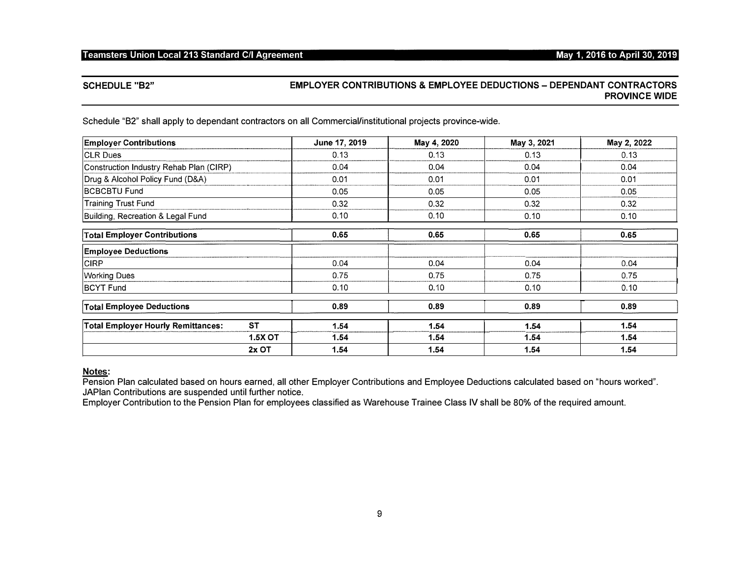## May 1, 2016 to April 30, 2019

## **SCHEDULE "B2"**

# **EMPLOYER CONTRIBUTIONS & EMPLOYEE DEDUCTIONS - DEPENDANT CONTRACTORS PROVINCE WIDE**

Schedule "B2" shall apply to dependant contractors on all Commercial/institutional projects province-wide.

| <b>Employer Contributions</b>             |                | June 17, 2019 | May 4, 2020 | May 3, 2021 | May 2, 2022 |
|-------------------------------------------|----------------|---------------|-------------|-------------|-------------|
| <b>CLR Dues</b>                           |                | 0.13          | 0.13        | 0.13        | 0.13        |
| Construction Industry Rehab Plan (CIRP)   |                | 0.04          | 0.04        | 0.04        | 0.04        |
| Drug & Alcohol Policy Fund (D&A)          |                | 0.01          | 0.01        | 0.01        | 0.01        |
| <b>BCBCBTU Fund</b>                       |                | 0.05          | 0.05        | 0.05        | 0.05        |
| <b>Training Trust Fund</b>                |                | 0.32          | 0.32        | 0.32        | 0.32        |
| Building, Recreation & Legal Fund         |                | 0.10          | 0.10        | 0.10        | 0.10        |
| <b>Total Employer Contributions</b>       |                | 0.65          | 0.65        | 0.65        | 0.65        |
| <b>Employee Deductions</b>                |                |               |             |             |             |
| <b>CIRP</b>                               |                | 0.04          | 0.04        | 0.04        | 0.04        |
| <b>Working Dues</b>                       |                | 0.75          | 0.75        | 0.75        | 0.75        |
| BCYT Fund                                 |                | 0.10          | 0.10        | 0.10        | 0.10        |
| <b>Total Employee Deductions</b>          |                | 0.89          | 0.89        | 0.89        | 0.89        |
| <b>Total Employer Hourly Remittances:</b> | <b>ST</b>      | 1.54          | 1.54        | 1.54        | 1.54        |
|                                           | <b>1.5X OT</b> | 1.54          | 1.54        | 1.54        | 1.54        |
|                                           | 2x OT          | 1.54          | 1.54        | 1.54        | 1.54        |

# Notes:

Pension Plan calculated based on hours earned, all other Employer Contributions and Employee Deductions calculated based on "hours worked". JAPlan Contributions are suspended until further notice.

Employer Contribution to the Pension Plan for employees classified as Warehouse Trainee Class IV shall be 80% of the required amount.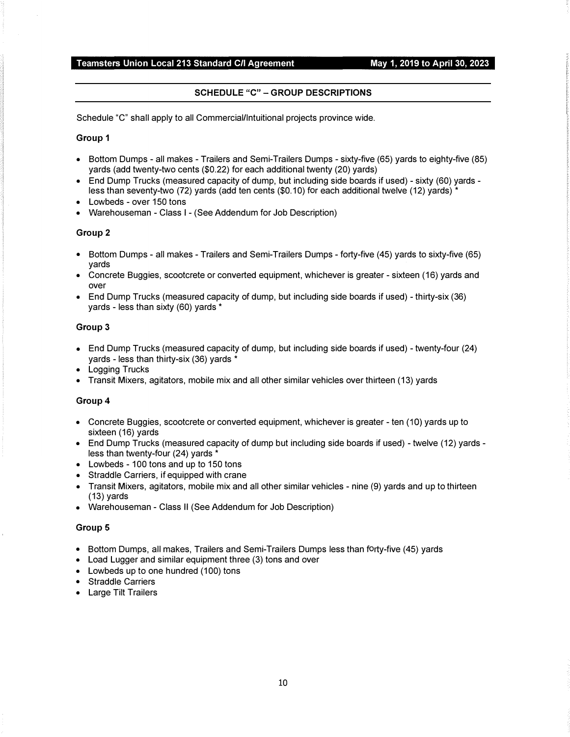# SCHEDULE "C" - GROUP DESCRIPTIONS

Schedule "C" shall apply to all Commercial/lntuitional projects province wide.

#### Group 1

- Bottom Dumps all makes Trailers and Semi-Trailers Dumps sixty-five (65) yards to eighty-five (85) yards (add twenty-two cents (\$0.22) for each additional twenty (20) yards)
- End Dump Trucks (measured capacity of dump, but including side boards if used) sixty (60) yards less than seventy-two (72) yards (add ten cents (\$0.10) for each additional twelve (12) yards) \*
- Lowbeds over 150 tons
- Warehouseman Class I (See Addendum for Job Description)

#### Group 2

- Bottom Dumps all makes Trailers and Semi-Trailers Dumps forty-five (45) yards to sixty-five (65) yards
- Concrete Buggies, scootcrete or converted equipment, whichever is greater sixteen (16) yards and over
- End Dump Trucks (measured capacity of dump, but including side boards if used) thirty-six (36) yards - less than sixty (60) yards \*

#### Group 3

- End Dump Trucks (measured capacity of dump, but including side boards if used) twenty-four (24) yards - less than thirty-six (36) yards \*
- Logging Trucks
- Transit Mixers, agitators, mobile mix and all other similar vehicles over thirteen (13) yards

#### Group 4

- Concrete Buggies, scootcrete or converted equipment, whichever is greater ten (10) yards up to sixteen (16) yards
- End Dump Trucks (measured capacity of dump but including side boards if used) twelve (12) yards less than twenty-four  $(24)$  yards  $*$
- Lowbeds 100 tons and up to 150 tons
- Straddle Carriers, if equipped with crane
- Transit Mixers, agitators, mobile mix and all other similar vehicles nine (9) yards and up to thirteen (13) yards
- Warehouseman Class II (See Addendum for Job Description)

#### Group 5

- Bottom Dumps, all makes, Trailers and Semi-Trailers Dumps less than forty-five (45) yards
- Load Lugger and similar equipment three (3) tons and over
- Lowbeds up to one hundred (100) tons
- Straddle Carriers
- Large Tilt Trailers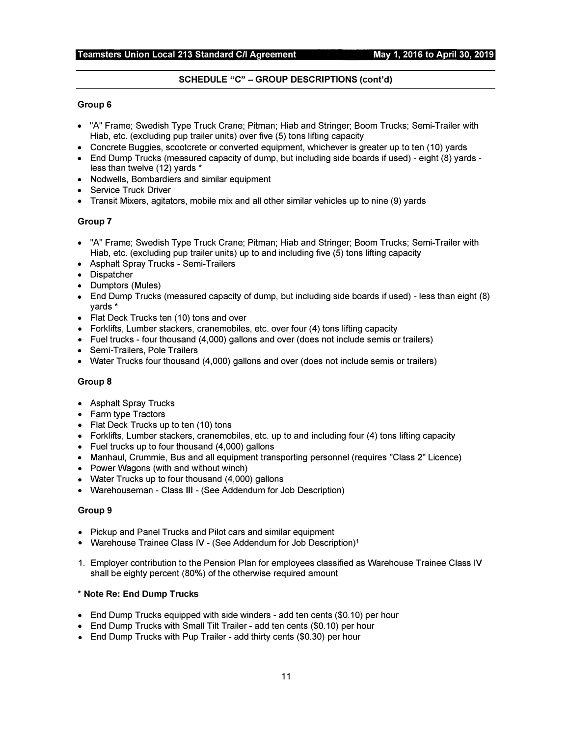## SCHEDULE "C" - GROUP DESCRIPTIONS (cont'd)

#### Group 6

- "A" Frame; Swedish Type Truck Crane; Pitman; Hiab and Stringer; Boom Trucks; Semi-Trailer with Hiab, etc. (excluding pup trailer units) over five (5) tons lifting capacity
- Concrete Buggies, scootcrete or converted equipment, whichever is greater up to ten (10) yards
- End Dump Trucks (measured capacity of dump, but including side boards if used) eight (8) yards less than twelve (12) yards \*
- Nodwells, Bombardiers and similar equipment
- Service Truck Driver
- Transit Mixers, agitators, mobile mix and all other similar vehicles up to nine (9) yards

#### Group 7

- "A" Frame; Swedish Type Truck Crane; Pitman; Hiab and Stringer; Boom Trucks; Semi-Trailer with Hiab, etc. (excluding pup trailer units) up to and including five (5) tons lifting capacity
- Asphalt Spray Trucks Semi-Trailers
- Dispatcher
- Dumptors (Mules)
- End Dump Trucks (measured capacity of dump, but including side boards if used) less than eight (8) yards\*
- Flat Deck Trucks ten (10) tons and over
- Forklifts, Lumber stackers, cranemobiles, etc. over four (4) tons lifting capacity
- Fuel trucks four thousand (4,000) gallons and over (does not include semis or trailers)
- Semi-Trailers, Pole Trailers
- Water Trucks four thousand (4,000) gallons and over (does not include semis or trailers)

#### Group 8

- Asphalt Spray Trucks
- Farm type Tractors
- Flat Deck Trucks up to ten (10) tons
- Forklifts, Lumber stackers, cranemobiles, etc. up to and including four (4) tons lifting capacity
- Fuel trucks up to four thousand (4,000) gallons
- Manhaul, Crummie, Bus and all equipment transporting personnel (requires "Class 2" Licence)
- Power Wagons (with and without winch)
- Water Trucks up to four thousand (4,000) gallons
- Warehouseman Class Ill (See Addendum for Job Description)

#### Group 9

- Pickup and Panel Trucks and Pilot cars and similar equipment
- Warehouse Trainee Class IV (See Addendum for Job Description)<sup>1</sup>
- 1. Employer contribution to the Pension Plan for employees classified as Warehouse Trainee Class IV shall be eighty percent (80%) of the otherwise required amount

#### \* Note Re: End Dump Trucks

- End Dump Trucks equipped with side winders add ten cents (\$0.10) per hour
- End Dump Trucks with Small Tilt Trailer add ten cents (\$0.10) per hour
- End Dump Trucks with Pup Trailer add thirty cents (\$0.30) per hour